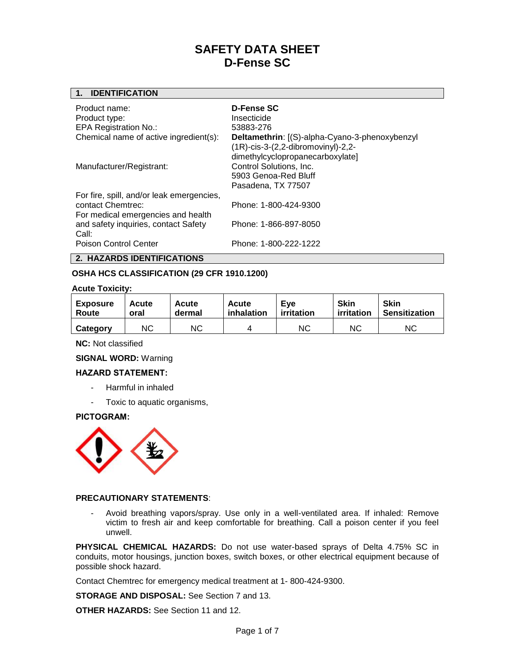## **1. IDENTIFICATION**

| Product name:<br>Product type:<br><b>EPA Registration No.:</b><br>Chemical name of active ingredient(s): | D-Fense SC<br>Insecticide<br>53883-276<br>Deltamethrin: [(S)-alpha-Cyano-3-phenoxybenzyl<br>$(1R)$ -cis-3- $(2,2$ -dibromovinyl $)$ -2,2-<br>dimethylcyclopropanecarboxylate] |
|----------------------------------------------------------------------------------------------------------|-------------------------------------------------------------------------------------------------------------------------------------------------------------------------------|
| Manufacturer/Registrant:                                                                                 | Control Solutions, Inc.<br>5903 Genoa-Red Bluff<br>Pasadena, TX 77507                                                                                                         |
| For fire, spill, and/or leak emergencies,<br>contact Chemtrec:<br>For medical emergencies and health     | Phone: 1-800-424-9300                                                                                                                                                         |
| and safety inquiries, contact Safety<br>Call:                                                            | Phone: 1-866-897-8050                                                                                                                                                         |
| Poison Control Center                                                                                    | Phone: 1-800-222-1222                                                                                                                                                         |

## **2. HAZARDS IDENTIFICATIONS**

## **OSHA HCS CLASSIFICATION (29 CFR 1910.1200)**

## **Acute Toxicity:**

| <b>Exposure</b> | Acute | <b>Acute</b> | Acute      | Eve        | <b>Skin</b> | <b>Skin</b>          |
|-----------------|-------|--------------|------------|------------|-------------|----------------------|
| Route           | oral  | dermal       | inhalation | irritation | irritation  | <b>Sensitization</b> |
| Category        | ΝC    | ΝC           |            | NC.        | ΝC          | ΝC                   |

**NC:** Not classified

## **SIGNAL WORD:** Warning

## **HAZARD STATEMENT:**

- Harmful in inhaled
- Toxic to aquatic organisms,

## **PICTOGRAM:**



## **PRECAUTIONARY STATEMENTS**:

- Avoid breathing vapors/spray. Use only in a well-ventilated area. If inhaled: Remove victim to fresh air and keep comfortable for breathing. Call a poison center if you feel unwell.

**PHYSICAL CHEMICAL HAZARDS:** Do not use water-based sprays of Delta 4.75% SC in conduits, motor housings, junction boxes, switch boxes, or other electrical equipment because of possible shock hazard.

Contact Chemtrec for emergency medical treatment at 1- 800-424-9300.

**STORAGE AND DISPOSAL:** See Section 7 and 13.

**OTHER HAZARDS:** See Section 11 and 12.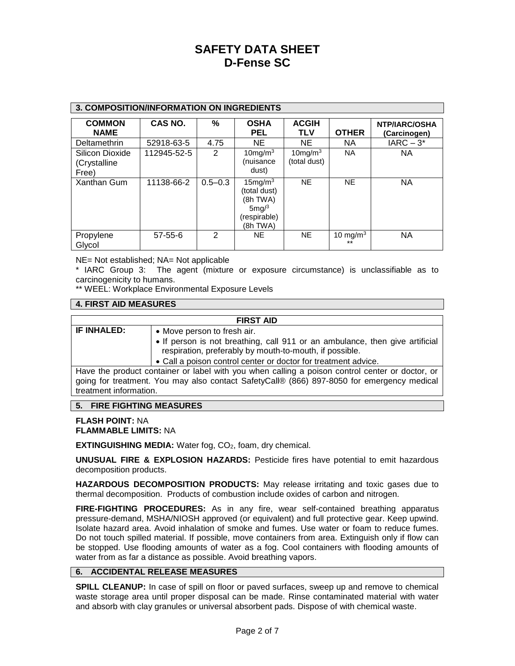| <b>3. COMPOSITION/INFORMATION ON INGREDIENTS</b> |               |                |                                                                                          |                               |                      |                                      |
|--------------------------------------------------|---------------|----------------|------------------------------------------------------------------------------------------|-------------------------------|----------------------|--------------------------------------|
| <b>COMMON</b><br><b>NAME</b>                     | CAS NO.       | %              | <b>OSHA</b><br><b>PEL</b>                                                                | <b>ACGIH</b><br><b>TLV</b>    | <b>OTHER</b>         | <b>NTP/IARC/OSHA</b><br>(Carcinogen) |
| Deltamethrin                                     | 52918-63-5    | 4.75           | NE.                                                                                      | NE.                           | <b>NA</b>            | $IARC - 3*$                          |
| Silicon Dioxide<br>(Crystalline<br>Free)         | 112945-52-5   | $\overline{2}$ | $10$ mg/m $3$<br>(nuisance<br>dust)                                                      | $10$ mg/m $3$<br>(total dust) | <b>NA</b>            | <b>NA</b>                            |
| Xanthan Gum                                      | 11138-66-2    | $0.5 - 0.3$    | $15$ mg/m $3$<br>(total dust)<br>(8h TWA)<br>$5 \text{mg}/3$<br>(respirable)<br>(8h TWA) | <b>NE</b>                     | <b>NE</b>            | <b>NA</b>                            |
| Propylene<br>Glvcol                              | $57 - 55 - 6$ | $\mathcal{P}$  | NE.                                                                                      | <b>NE</b>                     | 10 mg/m $3$<br>$***$ | <b>NA</b>                            |

NE= Not established; NA= Not applicable

\* IARC Group 3: The agent (mixture or exposure circumstance) is unclassifiable as to carcinogenicity to humans.

\*\* WEEL: Workplace Environmental Exposure Levels

## **4. FIRST AID MEASURES**

### **FIRST AID**

- **IF INHALED: •** Move person to fresh air.
	- If person is not breathing, call 911 or an ambulance, then give artificial respiration, preferably by mouth-to-mouth, if possible.
	- Call a poison control center or doctor for treatment advice.

Have the product container or label with you when calling a poison control center or doctor, or going for treatment. You may also contact SafetyCall® (866) 897-8050 for emergency medical treatment information.

## **5. FIRE FIGHTING MEASURES**

#### **FLASH POINT:** NA **FLAMMABLE LIMITS:** NA

**EXTINGUISHING MEDIA:** Water fog, CO<sub>2</sub>, foam, dry chemical.

**UNUSUAL FIRE & EXPLOSION HAZARDS:** Pesticide fires have potential to emit hazardous decomposition products.

**HAZARDOUS DECOMPOSITION PRODUCTS:** May release irritating and toxic gases due to thermal decomposition. Products of combustion include oxides of carbon and nitrogen.

**FIRE-FIGHTING PROCEDURES:** As in any fire, wear self-contained breathing apparatus pressure-demand, MSHA/NIOSH approved (or equivalent) and full protective gear. Keep upwind. Isolate hazard area. Avoid inhalation of smoke and fumes. Use water or foam to reduce fumes. Do not touch spilled material. If possible, move containers from area. Extinguish only if flow can be stopped. Use flooding amounts of water as a fog. Cool containers with flooding amounts of water from as far a distance as possible. Avoid breathing vapors.

## **6. ACCIDENTAL RELEASE MEASURES**

**SPILL CLEANUP:** In case of spill on floor or paved surfaces, sweep up and remove to chemical waste storage area until proper disposal can be made. Rinse contaminated material with water and absorb with clay granules or universal absorbent pads. Dispose of with chemical waste.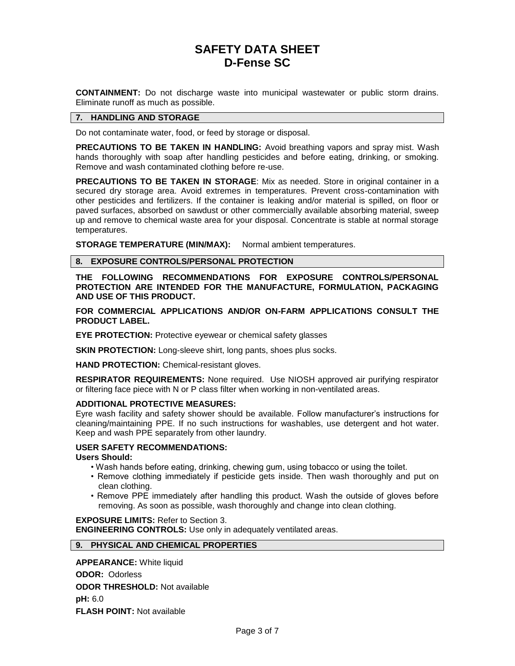**CONTAINMENT:** Do not discharge waste into municipal wastewater or public storm drains. Eliminate runoff as much as possible.

## **7. HANDLING AND STORAGE**

Do not contaminate water, food, or feed by storage or disposal.

**PRECAUTIONS TO BE TAKEN IN HANDLING:** Avoid breathing vapors and spray mist. Wash hands thoroughly with soap after handling pesticides and before eating, drinking, or smoking. Remove and wash contaminated clothing before re-use.

**PRECAUTIONS TO BE TAKEN IN STORAGE**: Mix as needed. Store in original container in a secured dry storage area. Avoid extremes in temperatures. Prevent cross-contamination with other pesticides and fertilizers. If the container is leaking and/or material is spilled, on floor or paved surfaces, absorbed on sawdust or other commercially available absorbing material, sweep up and remove to chemical waste area for your disposal. Concentrate is stable at normal storage temperatures.

**STORAGE TEMPERATURE (MIN/MAX):** Normal ambient temperatures.

## **8. EXPOSURE CONTROLS/PERSONAL PROTECTION**

**THE FOLLOWING RECOMMENDATIONS FOR EXPOSURE CONTROLS/PERSONAL PROTECTION ARE INTENDED FOR THE MANUFACTURE, FORMULATION, PACKAGING AND USE OF THIS PRODUCT.**

**FOR COMMERCIAL APPLICATIONS AND/OR ON-FARM APPLICATIONS CONSULT THE PRODUCT LABEL.**

**EYE PROTECTION:** Protective eyewear or chemical safety glasses

**SKIN PROTECTION:** Long-sleeve shirt, long pants, shoes plus socks.

**HAND PROTECTION:** Chemical-resistant gloves.

**RESPIRATOR REQUIREMENTS:** None required. Use NIOSH approved air purifying respirator or filtering face piece with N or P class filter when working in non-ventilated areas.

## **ADDITIONAL PROTECTIVE MEASURES:**

Eyre wash facility and safety shower should be available. Follow manufacturer's instructions for cleaning/maintaining PPE. If no such instructions for washables, use detergent and hot water. Keep and wash PPE separately from other laundry.

## **USER SAFETY RECOMMENDATIONS:**

#### **Users Should:**

- Wash hands before eating, drinking, chewing gum, using tobacco or using the toilet.
- Remove clothing immediately if pesticide gets inside. Then wash thoroughly and put on clean clothing.
- Remove PPE immediately after handling this product. Wash the outside of gloves before removing. As soon as possible, wash thoroughly and change into clean clothing.

## **EXPOSURE LIMITS:** Refer to Section 3.

**ENGINEERING CONTROLS:** Use only in adequately ventilated areas.

## **9. PHYSICAL AND CHEMICAL PROPERTIES**

**APPEARANCE:** White liquid **ODOR:** Odorless **ODOR THRESHOLD:** Not available **pH:** 6.0 **FLASH POINT:** Not available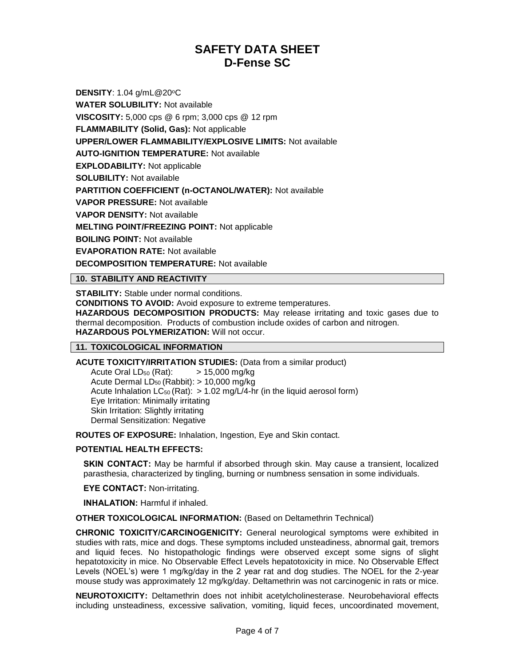**DENSITY: 1.04 g/mL@20°C WATER SOLUBILITY:** Not available **VISCOSITY:** 5,000 cps @ 6 rpm; 3,000 cps @ 12 rpm **FLAMMABILITY (Solid, Gas):** Not applicable **UPPER/LOWER FLAMMABILITY/EXPLOSIVE LIMITS:** Not available **AUTO-IGNITION TEMPERATURE:** Not available **EXPLODABILITY:** Not applicable **SOLUBILITY:** Not available **PARTITION COEFFICIENT (n-OCTANOL/WATER):** Not available **VAPOR PRESSURE:** Not available **VAPOR DENSITY:** Not available **MELTING POINT/FREEZING POINT:** Not applicable **BOILING POINT:** Not available **EVAPORATION RATE:** Not available **DECOMPOSITION TEMPERATURE:** Not available

**10. STABILITY AND REACTIVITY**

**STABILITY:** Stable under normal conditions. **CONDITIONS TO AVOID:** Avoid exposure to extreme temperatures. **HAZARDOUS DECOMPOSITION PRODUCTS:** May release irritating and toxic gases due to thermal decomposition. Products of combustion include oxides of carbon and nitrogen. **HAZARDOUS POLYMERIZATION:** Will not occur.

## **11. TOXICOLOGICAL INFORMATION**

**ACUTE TOXICITY/IRRITATION STUDIES:** (Data from a similar product)

Acute Oral  $LD_{50}$  (Rat):  $> 15,000$  mg/kg Acute Dermal  $LD_{50}$  (Rabbit):  $> 10,000$  mg/kg Acute Inhalation  $LC_{50}$  (Rat):  $> 1.02$  mg/L/4-hr (in the liquid aerosol form) Eye Irritation: Minimally irritating Skin Irritation: Slightly irritating Dermal Sensitization: Negative

**ROUTES OF EXPOSURE:** Inhalation, Ingestion, Eye and Skin contact.

## **POTENTIAL HEALTH EFFECTS:**

**SKIN CONTACT:** May be harmful if absorbed through skin. May cause a transient, localized parasthesia, characterized by tingling, burning or numbness sensation in some individuals.

**EYE CONTACT:** Non-irritating.

**INHALATION:** Harmful if inhaled.

**OTHER TOXICOLOGICAL INFORMATION:** (Based on Deltamethrin Technical)

**CHRONIC TOXICITY/CARCINOGENICITY:** General neurological symptoms were exhibited in studies with rats, mice and dogs. These symptoms included unsteadiness, abnormal gait, tremors and liquid feces. No histopathologic findings were observed except some signs of slight hepatotoxicity in mice. No Observable Effect Levels hepatotoxicity in mice. No Observable Effect Levels (NOEL's) were 1 mg/kg/day in the 2 year rat and dog studies. The NOEL for the 2-year mouse study was approximately 12 mg/kg/day. Deltamethrin was not carcinogenic in rats or mice.

**NEUROTOXICITY:** Deltamethrin does not inhibit acetylcholinesterase. Neurobehavioral effects including unsteadiness, excessive salivation, vomiting, liquid feces, uncoordinated movement,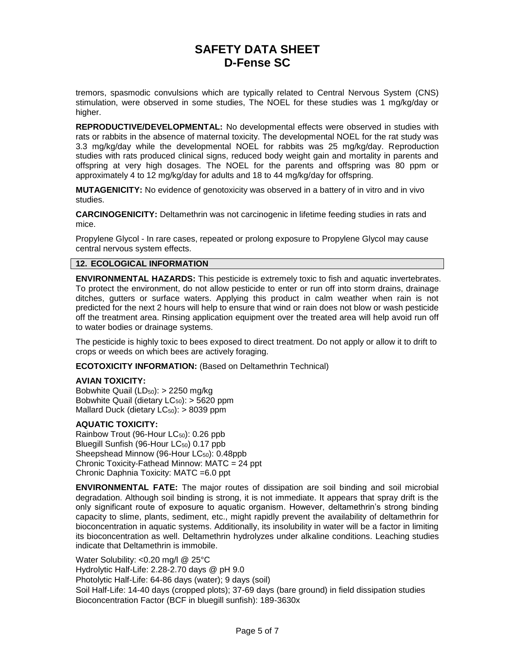tremors, spasmodic convulsions which are typically related to Central Nervous System (CNS) stimulation, were observed in some studies, The NOEL for these studies was 1 mg/kg/day or higher.

**REPRODUCTIVE/DEVELOPMENTAL:** No developmental effects were observed in studies with rats or rabbits in the absence of maternal toxicity. The developmental NOEL for the rat study was 3.3 mg/kg/day while the developmental NOEL for rabbits was 25 mg/kg/day. Reproduction studies with rats produced clinical signs, reduced body weight gain and mortality in parents and offspring at very high dosages. The NOEL for the parents and offspring was 80 ppm or approximately 4 to 12 mg/kg/day for adults and 18 to 44 mg/kg/day for offspring.

**MUTAGENICITY:** No evidence of genotoxicity was observed in a battery of in vitro and in vivo studies.

**CARCINOGENICITY:** Deltamethrin was not carcinogenic in lifetime feeding studies in rats and mice.

Propylene Glycol - In rare cases, repeated or prolong exposure to Propylene Glycol may cause central nervous system effects.

## **12. ECOLOGICAL INFORMATION**

**ENVIRONMENTAL HAZARDS:** This pesticide is extremely toxic to fish and aquatic invertebrates. To protect the environment, do not allow pesticide to enter or run off into storm drains, drainage ditches, gutters or surface waters. Applying this product in calm weather when rain is not predicted for the next 2 hours will help to ensure that wind or rain does not blow or wash pesticide off the treatment area. Rinsing application equipment over the treated area will help avoid run off to water bodies or drainage systems.

The pesticide is highly toxic to bees exposed to direct treatment. Do not apply or allow it to drift to crops or weeds on which bees are actively foraging.

**ECOTOXICITY INFORMATION:** (Based on Deltamethrin Technical)

## **AVIAN TOXICITY:**

Bobwhite Quail (LD<sub>50</sub>): > 2250 mg/kg Bobwhite Quail (dietary  $LC_{50}$ ):  $> 5620$  ppm Mallard Duck (dietary  $LC_{50}$ ): > 8039 ppm

## **AQUATIC TOXICITY:**

Rainbow Trout (96-Hour LC<sub>50</sub>): 0.26 ppb Bluegill Sunfish (96-Hour LC<sub>50</sub>) 0.17 ppb Sheepshead Minnow (96-Hour LC<sub>50</sub>): 0.48ppb Chronic Toxicity-Fathead Minnow: MATC = 24 ppt Chronic Daphnia Toxicity: MATC =6.0 ppt

**ENVIRONMENTAL FATE:** The major routes of dissipation are soil binding and soil microbial degradation. Although soil binding is strong, it is not immediate. It appears that spray drift is the only significant route of exposure to aquatic organism. However, deltamethrin's strong binding capacity to slime, plants, sediment, etc., might rapidly prevent the availability of deltamethrin for bioconcentration in aquatic systems. Additionally, its insolubility in water will be a factor in limiting its bioconcentration as well. Deltamethrin hydrolyzes under alkaline conditions. Leaching studies indicate that Deltamethrin is immobile.

Water Solubility: <0.20 mg/l @ 25°C Hydrolytic Half-Life: 2.28-2.70 days @ pH 9.0 Photolytic Half-Life: 64-86 days (water); 9 days (soil) Soil Half-Life: 14-40 days (cropped plots); 37-69 days (bare ground) in field dissipation studies Bioconcentration Factor (BCF in bluegill sunfish): 189-3630x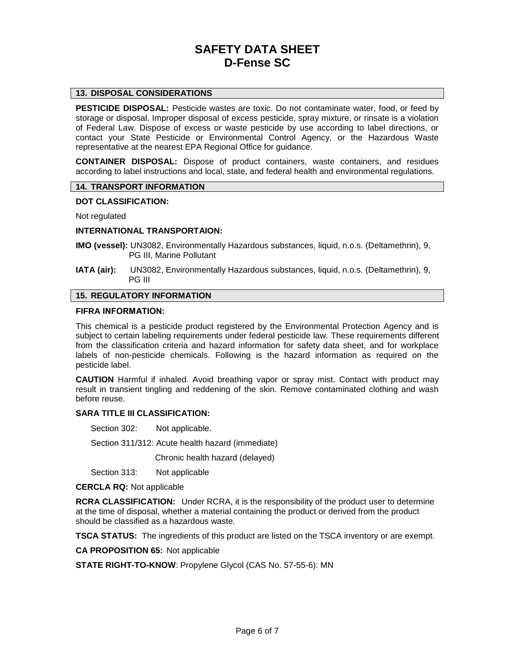## **13. DISPOSAL CONSIDERATIONS**

**PESTICIDE DISPOSAL:** Pesticide wastes are toxic. Do not contaminate water, food, or feed by storage or disposal. Improper disposal of excess pesticide, spray mixture, or rinsate is a violation of Federal Law. Dispose of excess or waste pesticide by use according to label directions, or contact your State Pesticide or Environmental Control Agency, or the Hazardous Waste representative at the nearest EPA Regional Office for guidance.

**CONTAINER DISPOSAL:** Dispose of product containers, waste containers, and residues according to label instructions and local, state, and federal health and environmental regulations.

### **14. TRANSPORT INFORMATION**

#### **DOT CLASSIFICATION:**

Not regulated

#### **INTERNATIONAL TRANSPORTAION:**

- **IMO (vessel):** UN3082, Environmentally Hazardous substances, liquid, n.o.s. (Deltamethrin), 9, PG III, Marine Pollutant
- **IATA (air):** UN3082, Environmentally Hazardous substances, liquid, n.o.s. (Deltamethrin), 9, PG III

### **15. REGULATORY INFORMATION**

#### **FIFRA INFORMATION:**

This chemical is a pesticide product registered by the Environmental Protection Agency and is subject to certain labeling requirements under federal pesticide law. These requirements different from the classification criteria and hazard information for safety data sheet, and for workplace labels of non-pesticide chemicals. Following is the hazard information as required on the pesticide label.

**CAUTION** Harmful if inhaled. Avoid breathing vapor or spray mist. Contact with product may result in transient tingling and reddening of the skin. Remove contaminated clothing and wash before reuse.

## **SARA TITLE III CLASSIFICATION:**

Section 302: Not applicable.

Section 311/312: Acute health hazard (immediate)

Chronic health hazard (delayed)

Section 313: Not applicable

**CERCLA RQ:** Not applicable

**RCRA CLASSIFICATION:** Under RCRA, it is the responsibility of the product user to determine at the time of disposal, whether a material containing the product or derived from the product should be classified as a hazardous waste.

**TSCA STATUS:** The ingredients of this product are listed on the TSCA inventory or are exempt.

**CA PROPOSITION 65:** Not applicable

**STATE RIGHT-TO-KNOW**: Propylene Glycol (CAS No. 57-55-6): MN